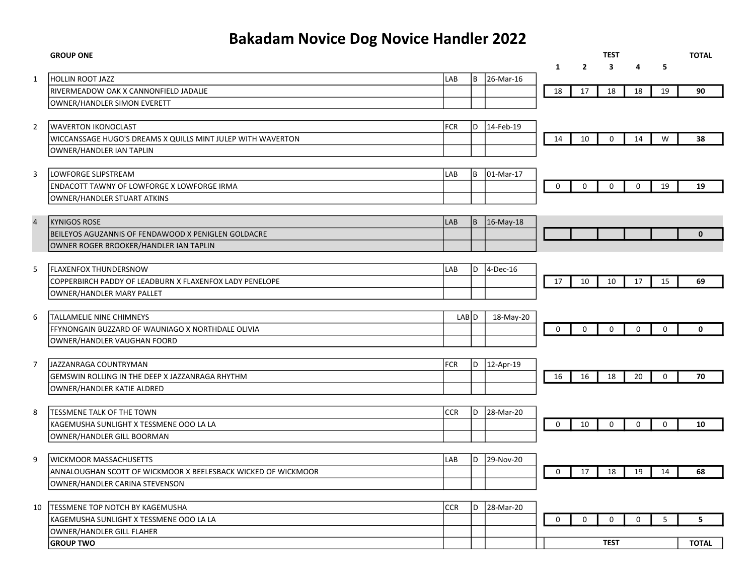## Bakadam Novice Dog Novice Handler 2022

|                | <b>GROUP ONE</b>                                                           |            |       |           |              |                | <b>TEST</b> |             |             | <b>TOTAL</b> |
|----------------|----------------------------------------------------------------------------|------------|-------|-----------|--------------|----------------|-------------|-------------|-------------|--------------|
|                |                                                                            |            |       |           | $\mathbf{1}$ | $\overline{2}$ | 3           | 4           | 5           |              |
| $\mathbf{1}$   | <b>HOLLIN ROOT JAZZ</b>                                                    | LAB        | l B   | 26-Mar-16 |              |                |             |             |             |              |
|                | RIVERMEADOW OAK X CANNONFIELD JADALIE                                      |            |       |           | 18           | 17             | 18          | 18          | 19          | 90           |
|                | OWNER/HANDLER SIMON EVERETT                                                |            |       |           |              |                |             |             |             |              |
|                |                                                                            |            |       |           |              |                |             |             |             |              |
| $\overline{2}$ | <b>WAVERTON IKONOCLAST</b>                                                 | <b>FCR</b> | l D   | 14-Feb-19 |              |                |             |             |             |              |
|                | WICCANSSAGE HUGO'S DREAMS X QUILLS MINT JULEP WITH WAVERTON                |            |       |           | 14           | 10             | 0           | 14          | ${\sf W}$   | 38           |
|                | OWNER/HANDLER IAN TAPLIN                                                   |            |       |           |              |                |             |             |             |              |
|                |                                                                            |            |       |           |              |                |             |             |             |              |
| 3              | LOWFORGE SLIPSTREAM                                                        | LAB        | l B   | 01-Mar-17 |              |                |             |             |             |              |
|                | <b>ENDACOTT TAWNY OF LOWFORGE X LOWFORGE IRMA</b>                          |            |       |           | $\mathbf 0$  | 0              | $\mathbf 0$ | $\mathbf 0$ | 19          | 19           |
|                | OWNER/HANDLER STUART ATKINS                                                |            |       |           |              |                |             |             |             |              |
|                |                                                                            |            |       |           |              |                |             |             |             |              |
| $\overline{4}$ | <b>KYNIGOS ROSE</b>                                                        | LAB        | ΙB    | 16-May-18 |              |                |             |             |             |              |
|                | BEILEYOS AGUZANNIS OF FENDAWOOD X PENIGLEN GOLDACRE                        |            |       |           |              |                |             |             |             | $\mathbf{0}$ |
|                | OWNER ROGER BROOKER/HANDLER IAN TAPLIN                                     |            |       |           |              |                |             |             |             |              |
|                |                                                                            |            |       |           |              |                |             |             |             |              |
| 5              | <b>FLAXENFOX THUNDERSNOW</b>                                               | LAB        | D     | 4-Dec-16  |              |                |             |             |             |              |
|                | COPPERBIRCH PADDY OF LEADBURN X FLAXENFOX LADY PENELOPE                    |            |       |           | 17           | 10             | 10          | 17          | 15          | 69           |
|                | OWNER/HANDLER MARY PALLET                                                  |            |       |           |              |                |             |             |             |              |
|                |                                                                            |            |       |           |              |                |             |             |             |              |
| 6              | TALLAMELIE NINE CHIMNEYS                                                   |            | LAB D | 18-May-20 |              |                |             |             |             |              |
|                | FFYNONGAIN BUZZARD OF WAUNIAGO X NORTHDALE OLIVIA                          |            |       |           | 0            | $\mathbf 0$    | $\mathbf 0$ | $\mathbf 0$ | $\mathbf 0$ | 0            |
|                | OWNER/HANDLER VAUGHAN FOORD                                                |            |       |           |              |                |             |             |             |              |
|                |                                                                            |            |       |           |              |                |             |             |             |              |
| $\overline{7}$ | JAZZANRAGA COUNTRYMAN                                                      | FCR        | D     | 12-Apr-19 |              |                |             |             |             |              |
|                | GEMSWIN ROLLING IN THE DEEP X JAZZANRAGA RHYTHM                            |            |       |           | 16           | 16             | 18          | 20          | $\Omega$    | 70           |
|                | OWNER/HANDLER KATIE ALDRED                                                 |            |       |           |              |                |             |             |             |              |
|                |                                                                            |            |       |           |              |                |             |             |             |              |
| 8              | TESSMENE TALK OF THE TOWN                                                  | <b>CCR</b> | l D   | 28-Mar-20 |              |                |             |             |             |              |
|                | KAGEMUSHA SUNLIGHT X TESSMENE OOO LA LA                                    |            |       |           | $\mathbf 0$  | 10             | $\mathbf 0$ | $\mathbf 0$ | $\mathbf 0$ | 10           |
|                | OWNER/HANDLER GILL BOORMAN                                                 |            |       |           |              |                |             |             |             |              |
|                |                                                                            |            |       |           |              |                |             |             |             |              |
| 9              | <b>WICKMOOR MASSACHUSETTS</b>                                              | LAB        | D     | 29-Nov-20 |              |                |             |             |             |              |
|                | ANNALOUGHAN SCOTT OF WICKMOOR X BEELESBACK WICKED OF WICKMOOR              |            |       |           | 0            | 17             | 18          | 19          | 14          | 68           |
|                | OWNER/HANDLER CARINA STEVENSON                                             |            |       |           |              |                |             |             |             |              |
|                |                                                                            | <b>CCR</b> | D     |           |              |                |             |             |             |              |
| 10             | TESSMENE TOP NOTCH BY KAGEMUSHA<br>KAGEMUSHA SUNLIGHT X TESSMENE OOO LA LA |            |       | 28-Mar-20 | $\mathbf 0$  | $\Omega$       | $\mathbf 0$ | $\Omega$    | 5           | 5            |
|                | OWNER/HANDLER GILL FLAHER                                                  |            |       |           |              |                |             |             |             |              |
|                | <b>GROUP TWO</b>                                                           |            |       |           |              |                | <b>TEST</b> |             |             | <b>TOTAL</b> |
|                |                                                                            |            |       |           |              |                |             |             |             |              |